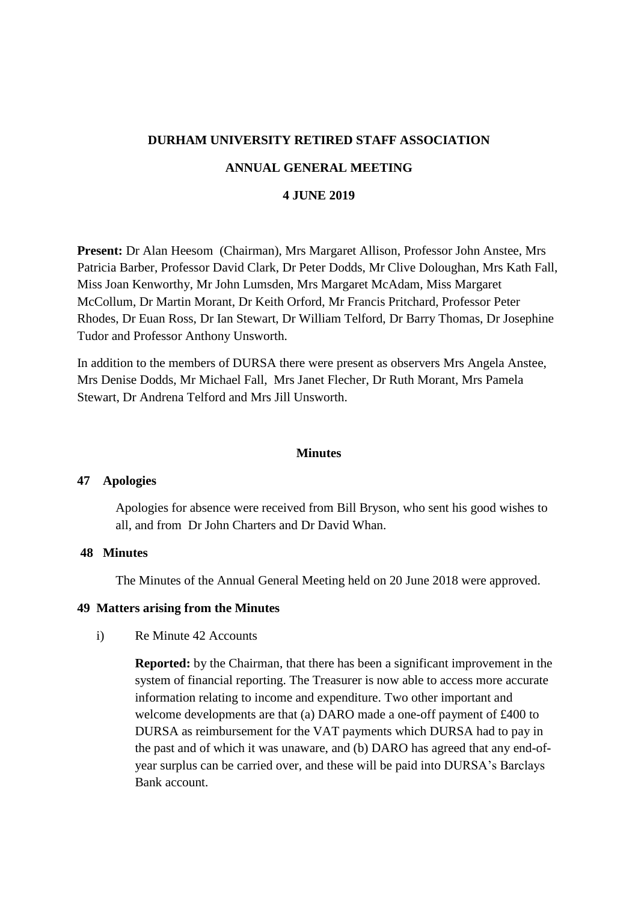### **DURHAM UNIVERSITY RETIRED STAFF ASSOCIATION**

## **ANNUAL GENERAL MEETING**

### **4 JUNE 2019**

**Present:** Dr Alan Heesom (Chairman), Mrs Margaret Allison, Professor John Anstee, Mrs Patricia Barber, Professor David Clark, Dr Peter Dodds, Mr Clive Doloughan, Mrs Kath Fall, Miss Joan Kenworthy, Mr John Lumsden, Mrs Margaret McAdam, Miss Margaret McCollum, Dr Martin Morant, Dr Keith Orford, Mr Francis Pritchard, Professor Peter Rhodes, Dr Euan Ross, Dr Ian Stewart, Dr William Telford, Dr Barry Thomas, Dr Josephine Tudor and Professor Anthony Unsworth.

In addition to the members of DURSA there were present as observers Mrs Angela Anstee, Mrs Denise Dodds, Mr Michael Fall, Mrs Janet Flecher, Dr Ruth Morant, Mrs Pamela Stewart, Dr Andrena Telford and Mrs Jill Unsworth.

### **Minutes**

### **47 Apologies**

Apologies for absence were received from Bill Bryson, who sent his good wishes to all, and from Dr John Charters and Dr David Whan.

#### **48 Minutes**

The Minutes of the Annual General Meeting held on 20 June 2018 were approved.

#### **49 Matters arising from the Minutes**

#### i) Re Minute 42 Accounts

**Reported:** by the Chairman, that there has been a significant improvement in the system of financial reporting. The Treasurer is now able to access more accurate information relating to income and expenditure. Two other important and welcome developments are that (a) DARO made a one-off payment of £400 to DURSA as reimbursement for the VAT payments which DURSA had to pay in the past and of which it was unaware, and (b) DARO has agreed that any end-ofyear surplus can be carried over, and these will be paid into DURSA's Barclays Bank account.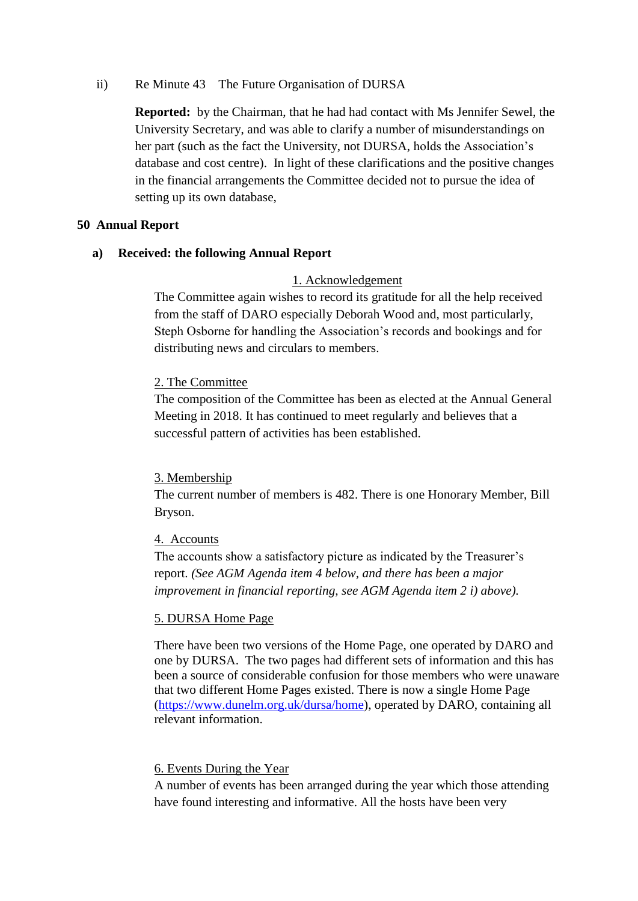ii) Re Minute 43 The Future Organisation of DURSA

**Reported:** by the Chairman, that he had had contact with Ms Jennifer Sewel, the University Secretary, and was able to clarify a number of misunderstandings on her part (such as the fact the University, not DURSA, holds the Association's database and cost centre). In light of these clarifications and the positive changes in the financial arrangements the Committee decided not to pursue the idea of setting up its own database,

## **50 Annual Report**

## **a) Received: the following Annual Report**

## 1. Acknowledgement

The Committee again wishes to record its gratitude for all the help received from the staff of DARO especially Deborah Wood and, most particularly, Steph Osborne for handling the Association's records and bookings and for distributing news and circulars to members.

## 2. The Committee

The composition of the Committee has been as elected at the Annual General Meeting in 2018. It has continued to meet regularly and believes that a successful pattern of activities has been established.

### 3. Membership

The current number of members is 482. There is one Honorary Member, Bill Bryson.

## 4. Accounts

The accounts show a satisfactory picture as indicated by the Treasurer's report. *(See AGM Agenda item 4 below, and there has been a major improvement in financial reporting, see AGM Agenda item 2 i) above).*

# 5. DURSA Home Page

There have been two versions of the Home Page, one operated by DARO and one by DURSA. The two pages had different sets of information and this has been a source of considerable confusion for those members who were unaware that two different Home Pages existed. There is now a single Home Page [\(https://www.dunelm.org.uk/dursa/home\)](https://www.dunelm.org.uk/dursa/home), operated by DARO, containing all relevant information.

## 6. Events During the Year

A number of events has been arranged during the year which those attending have found interesting and informative. All the hosts have been very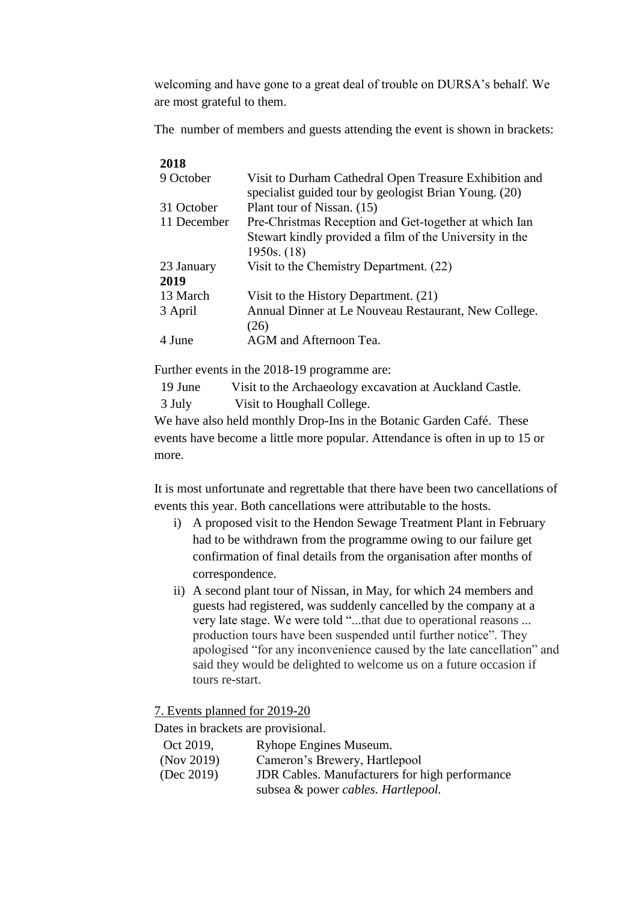welcoming and have gone to a great deal of trouble on DURSA's behalf. We are most grateful to them.

The number of members and guests attending the event is shown in brackets:

| 2018        |                                                                                                                 |
|-------------|-----------------------------------------------------------------------------------------------------------------|
| 9 October   | Visit to Durham Cathedral Open Treasure Exhibition and<br>specialist guided tour by geologist Brian Young. (20) |
| 31 October  | Plant tour of Nissan. (15)                                                                                      |
| 11 December | Pre-Christmas Reception and Get-together at which Ian                                                           |
|             | Stewart kindly provided a film of the University in the                                                         |
|             | 1950s. $(18)$                                                                                                   |
| 23 January  | Visit to the Chemistry Department. (22)                                                                         |
| 2019        |                                                                                                                 |
| 13 March    | Visit to the History Department. (21)                                                                           |
| 3 April     | Annual Dinner at Le Nouveau Restaurant, New College.                                                            |
|             | (26)                                                                                                            |
| 4 June      | AGM and Afternoon Tea.                                                                                          |
|             |                                                                                                                 |

Further events in the 2018-19 programme are:

19 June Visit to the Archaeology excavation at Auckland Castle.

3 July Visit to Houghall College.

We have also held monthly Drop-Ins in the Botanic Garden Café. These events have become a little more popular. Attendance is often in up to 15 or more.

It is most unfortunate and regrettable that there have been two cancellations of events this year. Both cancellations were attributable to the hosts.

- i) A proposed visit to the Hendon Sewage Treatment Plant in February had to be withdrawn from the programme owing to our failure get confirmation of final details from the organisation after months of correspondence.
- ii) A second plant tour of Nissan, in May, for which 24 members and guests had registered, was suddenly cancelled by the company at a very late stage. We were told "...that due to operational reasons ... production tours have been suspended until further notice". They apologised "for any inconvenience caused by the late cancellation" and said they would be delighted to welcome us on a future occasion if tours re-start.

7. Events planned for 2019-20

Dates in brackets are provisional.

| Oct 2019,  | Ryhope Engines Museum.                         |
|------------|------------------------------------------------|
| (Nov 2019) | Cameron's Brewery, Hartlepool                  |
| (Dec 2019) | JDR Cables. Manufacturers for high performance |
|            | subsea & power cables. Hartlepool.             |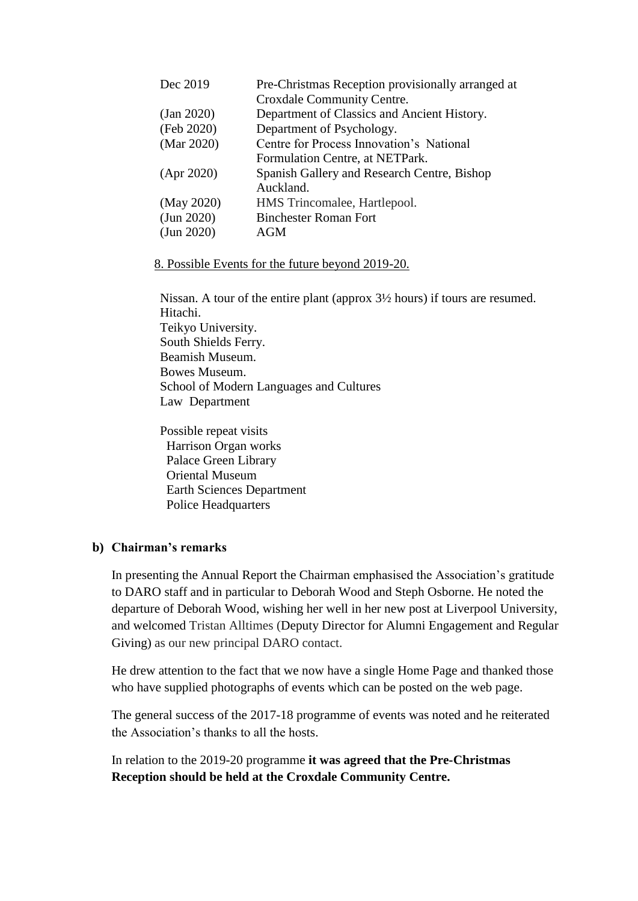| Pre-Christmas Reception provisionally arranged at |
|---------------------------------------------------|
|                                                   |
|                                                   |
|                                                   |
|                                                   |
|                                                   |
| Spanish Gallery and Research Centre, Bishop       |
|                                                   |
|                                                   |
|                                                   |
|                                                   |
|                                                   |

8. Possible Events for the future beyond 2019-20.

Nissan. A tour of the entire plant (approx 3½ hours) if tours are resumed. Hitachi. Teikyo University. South Shields Ferry. Beamish Museum. Bowes Museum. School of Modern Languages and Cultures Law Department

Possible repeat visits Harrison Organ works Palace Green Library Oriental Museum Earth Sciences Department Police Headquarters

# **b) Chairman's remarks**

In presenting the Annual Report the Chairman emphasised the Association's gratitude to DARO staff and in particular to Deborah Wood and Steph Osborne. He noted the departure of Deborah Wood, wishing her well in her new post at Liverpool University, and welcomed Tristan Alltimes (Deputy Director for Alumni Engagement and Regular Giving) as our new principal DARO contact.

He drew attention to the fact that we now have a single Home Page and thanked those who have supplied photographs of events which can be posted on the web page.

The general success of the 2017-18 programme of events was noted and he reiterated the Association's thanks to all the hosts.

In relation to the 2019-20 programme **it was agreed that the Pre-Christmas Reception should be held at the Croxdale Community Centre.**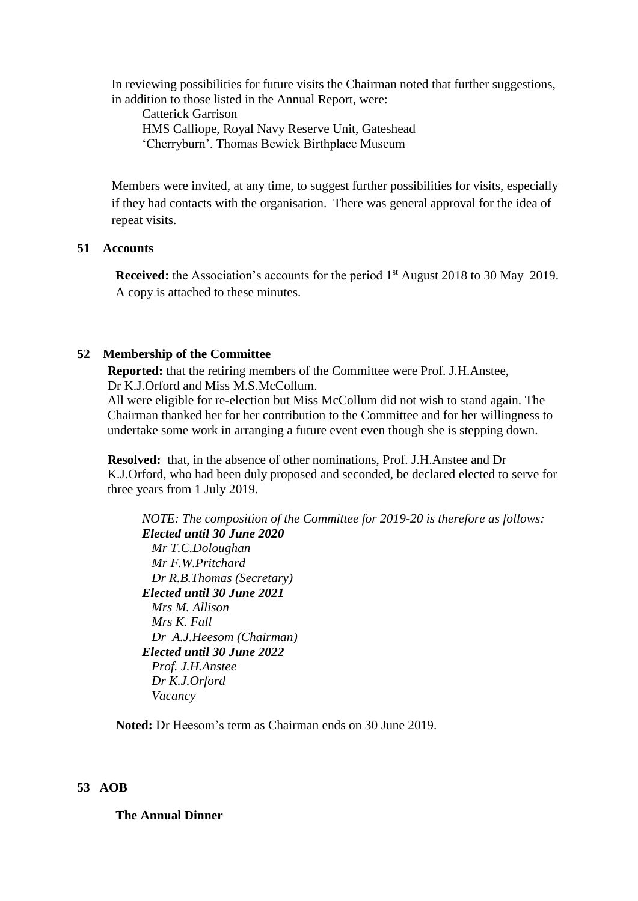In reviewing possibilities for future visits the Chairman noted that further suggestions, in addition to those listed in the Annual Report, were:

Catterick Garrison HMS Calliope, Royal Navy Reserve Unit, Gateshead 'Cherryburn'. Thomas Bewick Birthplace Museum

Members were invited, at any time, to suggest further possibilities for visits, especially if they had contacts with the organisation. There was general approval for the idea of repeat visits.

# **51 Accounts**

**Received:** the Association's accounts for the period 1<sup>st</sup> August 2018 to 30 May 2019. A copy is attached to these minutes.

## **52 Membership of the Committee**

**Reported:** that the retiring members of the Committee were Prof. J.H.Anstee, Dr K.J.Orford and Miss M.S.McCollum.

All were eligible for re-election but Miss McCollum did not wish to stand again. The Chairman thanked her for her contribution to the Committee and for her willingness to undertake some work in arranging a future event even though she is stepping down.

**Resolved:** that, in the absence of other nominations, Prof. J.H.Anstee and Dr K.J.Orford, who had been duly proposed and seconded, be declared elected to serve for three years from 1 July 2019.

*NOTE: The composition of the Committee for 2019-20 is therefore as follows: Elected until 30 June 2020 Mr T.C.Doloughan Mr F.W.Pritchard Dr R.B.Thomas (Secretary) Elected until 30 June 2021 Mrs M. Allison Mrs K. Fall Dr A.J.Heesom (Chairman) Elected until 30 June 2022 Prof. J.H.Anstee Dr K.J.Orford Vacancy*

**Noted:** Dr Heesom's term as Chairman ends on 30 June 2019.

# **53 AOB**

**The Annual Dinner**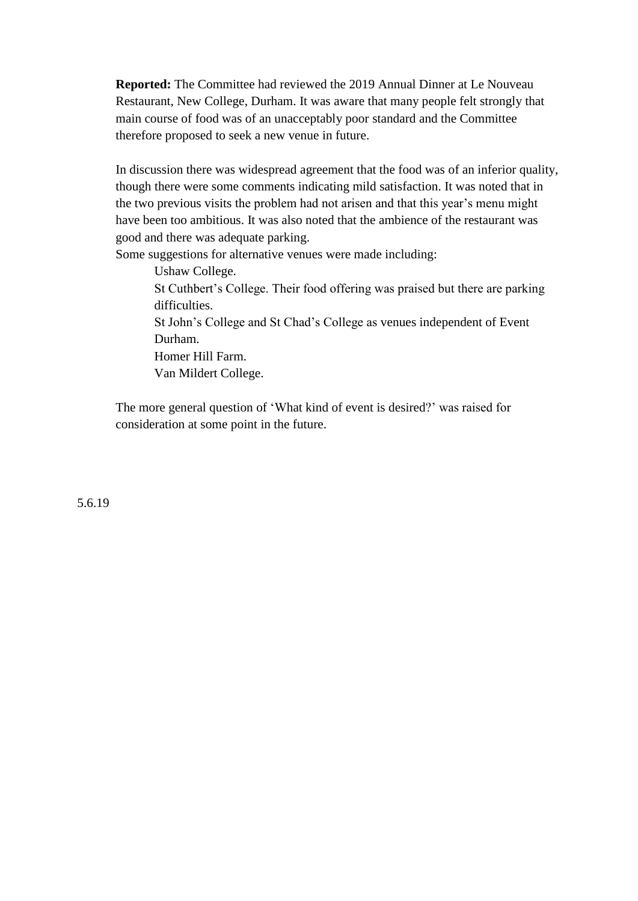**Reported:** The Committee had reviewed the 2019 Annual Dinner at Le Nouveau Restaurant, New College, Durham. It was aware that many people felt strongly that main course of food was of an unacceptably poor standard and the Committee therefore proposed to seek a new venue in future.

In discussion there was widespread agreement that the food was of an inferior quality, though there were some comments indicating mild satisfaction. It was noted that in the two previous visits the problem had not arisen and that this year's menu might have been too ambitious. It was also noted that the ambience of the restaurant was good and there was adequate parking.

Some suggestions for alternative venues were made including:

Ushaw College. St Cuthbert's College. Their food offering was praised but there are parking difficulties. St John's College and St Chad's College as venues independent of Event Durham. Homer Hill Farm. Van Mildert College.

The more general question of 'What kind of event is desired?' was raised for consideration at some point in the future.

5.6.19